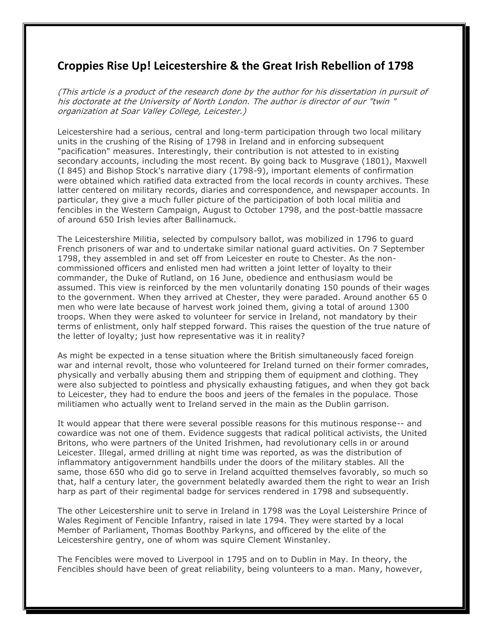## **Croppies Rise Up! Leicestershire & the Great Irish Rebellion of 1798**

(This article is a product of the research done by the author for his dissertation in pursuit of his doctorate at the University of North London. The author is director of our "twin " organization at Soar Valley College, Leicester.)

Leicestershire had a serious, central and long-term participation through two local military units in the crushing of the Rising of 1798 in Ireland and in enforcing subsequent "pacification" measures. Interestingly, their contribution is not attested to in existing secondary accounts, including the most recent. By going back to Musgrave (1801), Maxwell (I 845) and Bishop Stock's narrative diary (1798-9), important elements of confirmation were obtained which ratified data extracted from the local records in county archives. These latter centered on military records, diaries and correspondence, and newspaper accounts. In particular, they give a much fuller picture of the participation of both local militia and fencibles in the Western Campaign, August to October 1798, and the post-battle massacre of around 650 Irish levies after Ballinamuck.

The Leicestershire Militia, selected by compulsory ballot, was mobilized in 1796 to guard French prisoners of war and to undertake similar national guard activities. On 7 September 1798, they assembled in and set off from Leicester en route to Chester. As the noncommissioned officers and enlisted men had written a joint letter of loyalty to their commander, the Duke of Rutland, on 16 June, obedience and enthusiasm would be assumed. This view is reinforced by the men voluntarily donating 150 pounds of their wages to the government. When they arrived at Chester, they were paraded. Around another 65 0 men who were late because of harvest work joined them, giving a total of around 1300 troops. When they were asked to volunteer for service in Ireland, not mandatory by their terms of enlistment, only half stepped forward. This raises the question of the true nature of the letter of loyalty; just how representative was it in reality?

As might be expected in a tense situation where the British simultaneously faced foreign war and internal revolt, those who volunteered for Ireland turned on their former comrades, physically and verbally abusing them and stripping them of equipment and clothing. They were also subjected to pointless and physically exhausting fatigues, and when they got back to Leicester, they had to endure the boos and jeers of the females in the populace. Those militiamen who actually went to Ireland served in the main as the Dublin garrison.

It would appear that there were several possible reasons for this mutinous response-- and cowardice was not one of them. Evidence suggests that radical political activists, the United Britons, who were partners of the United Irishmen, had revolutionary cells in or around Leicester. Illegal, armed drilling at night time was reported, as was the distribution of inflammatory antigovernment handbills under the doors of the military stables. All the same, those 650 who did go to serve in Ireland acquitted themselves favorably, so much so that, half a century later, the government belatedly awarded them the right to wear an Irish harp as part of their regimental badge for services rendered in 1798 and subsequently.

The other Leicestershire unit to serve in Ireland in 1798 was the Loyal Leistershire Prince of Wales Regiment of Fencible Infantry, raised in late 1794. They were started by a local Member of Parliament, Thomas Boothby Parkyns, and officered by the elite of the Leicestershire gentry, one of whom was squire Clement Winstanley.

The Fencibles were moved to Liverpool in 1795 and on to Dublin in May. In theory, the Fencibles should have been of great reliability, being volunteers to a man. Many, however,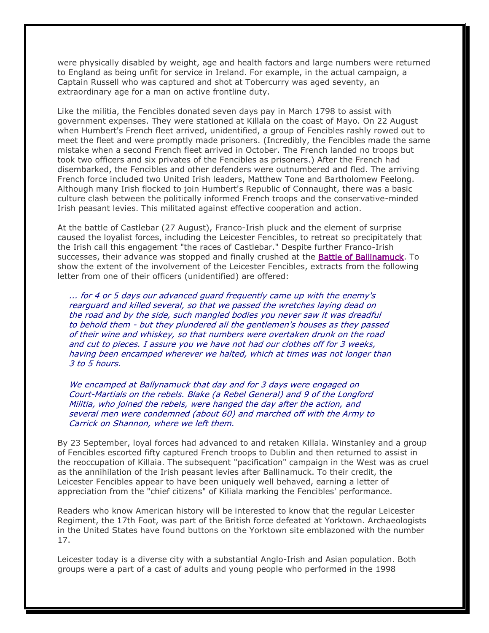were physically disabled by weight, age and health factors and large numbers were returned to England as being unfit for service in Ireland. For example, in the actual campaign, a Captain Russell who was captured and shot at Tobercurry was aged seventy, an extraordinary age for a man on active frontline duty.

Like the militia, the Fencibles donated seven days pay in March 1798 to assist with government expenses. They were stationed at Killala on the coast of Mayo. On 22 August when Humbert's French fleet arrived, unidentified, a group of Fencibles rashly rowed out to meet the fleet and were promptly made prisoners. (Incredibly, the Fencibles made the same mistake when a second French fleet arrived in October. The French landed no troops but took two officers and six privates of the Fencibles as prisoners.) After the French had disembarked, the Fencibles and other defenders were outnumbered and fled. The arriving French force included two United Irish leaders, Matthew Tone and Bartholomew Feelong. Although many Irish flocked to join Humbert's Republic of Connaught, there was a basic culture clash between the politically informed French troops and the conservative-minded Irish peasant levies. This militated against effective cooperation and action.

At the battle of Castlebar (27 August), Franco-Irish pluck and the element of surprise caused the loyalist forces, including the Leicester Fencibles, to retreat so precipitately that the Irish call this engagement "the races of Castlebar." Despite further Franco-Irish successes, their advance was stopped and finally crushed at the **Battle of Ballinamuck**. To show the extent of the involvement of the Leicester Fencibles, extracts from the following letter from one of their officers (unidentified) are offered:

 ... for 4 or 5 days our advanced guard frequently came up with the enemy's rearguard and killed several, so that we passed the wretches laying dead on the road and by the side, such mangled bodies you never saw it was dreadful to behold them - but they plundered all the gentlemen's houses as they passed of their wine and whiskey, so that numbers were overtaken drunk on the road and cut to pieces. I assure you we have not had our clothes off for 3 weeks, having been encamped wherever we halted, which at times was not longer than 3 to 5 hours.

 We encamped at Ballynamuck that day and for 3 days were engaged on Court-Martials on the rebels. Blake (a Rebel General) and 9 of the Longford Militia, who joined the rebels, were hanged the day after the action, and several men were condemned (about 60) and marched off with the Army to Carrick on Shannon, where we left them.

By 23 September, loyal forces had advanced to and retaken Killala. Winstanley and a group of Fencibles escorted fifty captured French troops to Dublin and then returned to assist in the reoccupation of Killaia. The subsequent "pacification" campaign in the West was as cruel as the annihilation of the Irish peasant levies after Ballinamuck. To their credit, the Leicester Fencibles appear to have been uniquely well behaved, earning a letter of appreciation from the "chief citizens" of Kiliala marking the Fencibles' performance.

Readers who know American history will be interested to know that the regular Leicester Regiment, the 17th Foot, was part of the British force defeated at Yorktown. Archaeologists in the United States have found buttons on the Yorktown site emblazoned with the number 17.

Leicester today is a diverse city with a substantial Anglo-Irish and Asian population. Both groups were a part of a cast of adults and young people who performed in the 1998